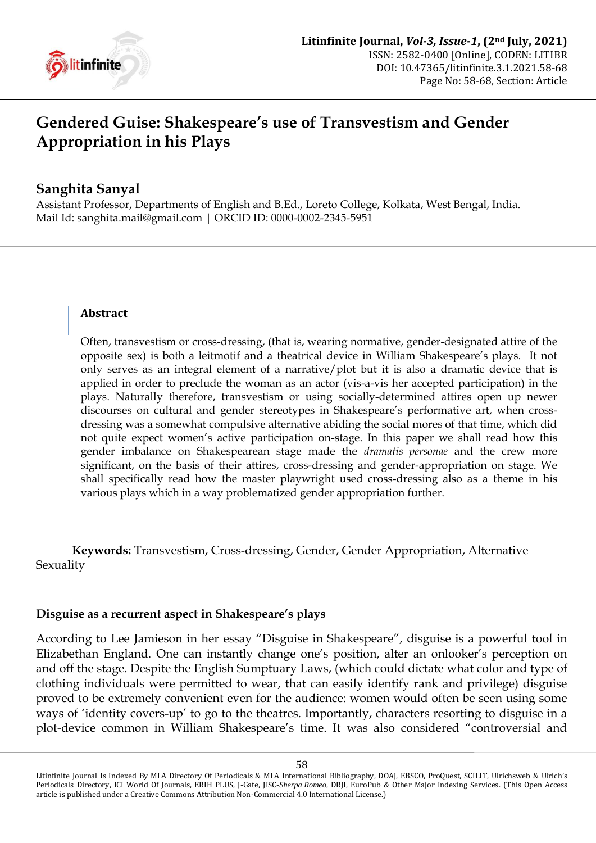

# **Gendered Guise: Shakespeare's use of Transvestism and Gender Appropriation in his Plays**

## **Sanghita Sanyal**

Assistant Professor, Departments of English and B.Ed., Loreto College, Kolkata, West Bengal, India. Mail Id: sanghita.mail@gmail.com | ORCID ID[: 0000-0002-2345-5951](https://orcid.org/0000-0002-2345-5951)

## **Abstract**

Often, transvestism or cross-dressing, (that is, wearing normative, gender-designated attire of the opposite sex) is both a leitmotif and a theatrical device in William Shakespeare"s plays. It not only serves as an integral element of a narrative/plot but it is also a dramatic device that is applied in order to preclude the woman as an actor (vis-a-vis her accepted participation) in the plays. Naturally therefore, transvestism or using socially-determined attires open up newer discourses on cultural and gender stereotypes in Shakespeare's performative art, when crossdressing was a somewhat compulsive alternative abiding the social mores of that time, which did not quite expect women"s active participation on-stage. In this paper we shall read how this gender imbalance on Shakespearean stage made the *dramatis personae* and the crew more significant, on the basis of their attires, cross-dressing and gender-appropriation on stage. We shall specifically read how the master playwright used cross-dressing also as a theme in his various plays which in a way problematized gender appropriation further.

**Keywords:** Transvestism, Cross-dressing, Gender, Gender Appropriation, Alternative Sexuality

#### **Disguise as a recurrent aspect in Shakespeare's plays**

According to Lee Jamieson in her essay "Disguise in Shakespeare", disguise is a powerful tool in Elizabethan England. One can instantly change one's position, alter an onlooker's perception on and off the stage. Despite the English Sumptuary Laws, (which could dictate what color and type of clothing individuals were permitted to wear, that can easily identify rank and privilege) disguise proved to be extremely convenient even for the audience: women would often be seen using some ways of 'identity covers-up' to go to the theatres. Importantly, characters resorting to disguise in a plot-device common in William Shakespeare"s time. It was also considered "controversial and

Litinfinite Journal Is Indexed By MLA Directory Of Periodicals & MLA International Bibliography, DOAJ, EBSCO, ProQuest, SCILIT, Ulrichsweb & Ulrich's Periodicals Directory, ICI World Of Journals, ERIH PLUS, J-Gate, JISC-*Sherpa Romeo*, DRJI, EuroPub & Other Major Indexing Services. (This Open Access article is published under a Creative Commons Attribution Non-Commercial 4.0 International License.)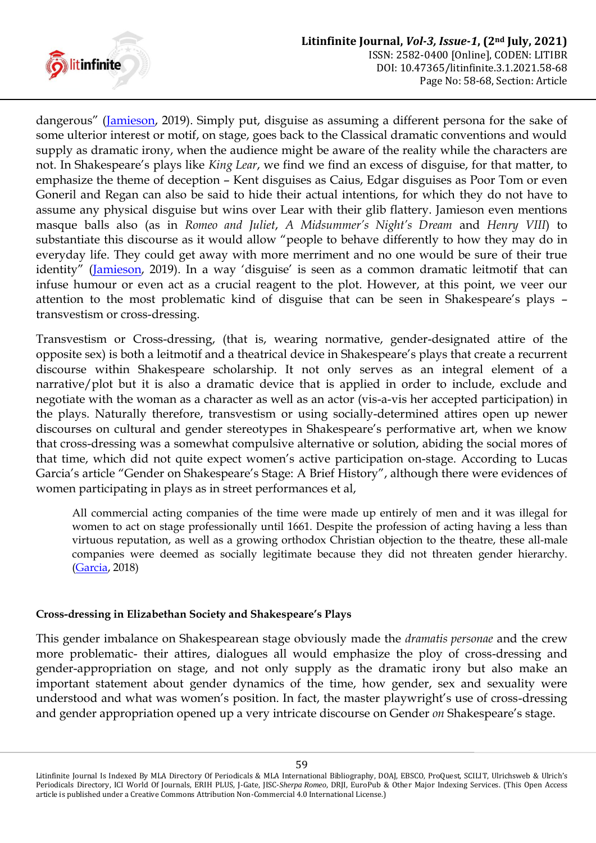

dangerous" ([Jamieson,](#page-9-0) 2019). Simply put, disguise as assuming a different persona for the sake of some ulterior interest or motif, on stage, goes back to the Classical dramatic conventions and would supply as dramatic irony, when the audience might be aware of the reality while the characters are not. In Shakespeare"s plays like *King Lear*, we find we find an excess of disguise, for that matter, to emphasize the theme of deception – Kent disguises as Caius, Edgar disguises as Poor Tom or even Goneril and Regan can also be said to hide their actual intentions, for which they do not have to assume any physical disguise but wins over Lear with their glib flattery. Jamieson even mentions masque balls also (as in *Romeo and Juliet*, *A Midsummer's Night's Dream* and *Henry VIII*) to substantiate this discourse as it would allow "people to behave differently to how they may do in everyday life. They could get away with more merriment and no one would be sure of their true identity" ([Jamieson,](#page-9-0) 2019). In a way 'disguise' is seen as a common dramatic leitmotif that can infuse humour or even act as a crucial reagent to the plot. However, at this point, we veer our attention to the most problematic kind of disguise that can be seen in Shakespeare"s plays – transvestism or cross-dressing.

Transvestism or Cross-dressing, (that is, wearing normative, gender-designated attire of the opposite sex) is both a leitmotif and a theatrical device in Shakespeare"s plays that create a recurrent discourse within Shakespeare scholarship. It not only serves as an integral element of a narrative/plot but it is also a dramatic device that is applied in order to include, exclude and negotiate with the woman as a character as well as an actor (vis-a-vis her accepted participation) in the plays. Naturally therefore, transvestism or using socially-determined attires open up newer discourses on cultural and gender stereotypes in Shakespeare's performative art, when we know that cross-dressing was a somewhat compulsive alternative or solution, abiding the social mores of that time, which did not quite expect women"s active participation on-stage. According to Lucas Garcia's article "Gender on Shakespeare's Stage: A Brief History", although there were evidences of women participating in plays as in street performances et al,

All commercial acting companies of the time were made up entirely of men and it was illegal for women to act on stage professionally until 1661. Despite the profession of acting having a less than virtuous reputation, as well as a growing orthodox Christian objection to the theatre, these all-male companies were deemed as socially legitimate because they did not threaten gender hierarchy. [\(Garcia,](#page-9-1) 2018)

#### **Cross-dressing in Elizabethan Society and Shakespeare's Plays**

This gender imbalance on Shakespearean stage obviously made the *dramatis personae* and the crew more problematic- their attires, dialogues all would emphasize the ploy of cross-dressing and gender-appropriation on stage, and not only supply as the dramatic irony but also make an important statement about gender dynamics of the time, how gender, sex and sexuality were understood and what was women's position. In fact, the master playwright's use of cross-dressing and gender appropriation opened up a very intricate discourse on Gender on Shakespeare's stage.

Litinfinite Journal Is Indexed By MLA Directory Of Periodicals & MLA International Bibliography, DOAJ, EBSCO, ProQuest, SCILIT, Ulrichsweb & Ulrich's Periodicals Directory, ICI World Of Journals, ERIH PLUS, J-Gate, JISC-*Sherpa Romeo*, DRJI, EuroPub & Other Major Indexing Services. (This Open Access article is published under a Creative Commons Attribution Non-Commercial 4.0 International License.)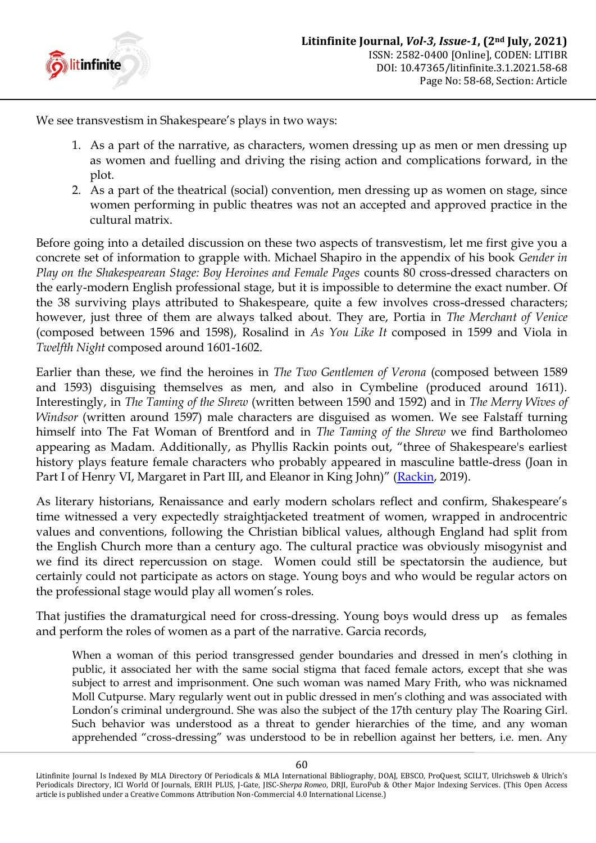

We see transvestism in Shakespeare's plays in two ways:

- 1. As a part of the narrative, as characters, women dressing up as men or men dressing up as women and fuelling and driving the rising action and complications forward, in the plot.
- 2. As a part of the theatrical (social) convention, men dressing up as women on stage, since women performing in public theatres was not an accepted and approved practice in the cultural matrix.

Before going into a detailed discussion on these two aspects of transvestism, let me first give you a concrete set of information to grapple with. Michael Shapiro in the appendix of his book *Gender in Play on the Shakespearean Stage: Boy Heroines and Female Pages* counts 80 cross-dressed characters on the early-modern English professional stage, but it is impossible to determine the exact number. Of the 38 surviving plays attributed to Shakespeare, quite a few involves cross-dressed characters; however, just three of them are always talked about. They are, Portia in *The Merchant of Venice*  (composed between 1596 and 1598), Rosalind in *As You Like It* composed in 1599 and Viola in *Twelfth Night* composed around 1601-1602.

Earlier than these, we find the heroines in *The Two Gentlemen of Verona* (composed between 1589 and 1593) disguising themselves as men, and also in Cymbeline (produced around 1611). Interestingly, in *The Taming of the Shrew* (written between 1590 and 1592) and in *The Merry Wives of Windsor* (written around 1597) male characters are disguised as women. We see Falstaff turning himself into The Fat Woman of Brentford and in *The Taming of the Shrew* we find Bartholomeo appearing as Madam. Additionally, as Phyllis Rackin points out, "three of Shakespeare's earliest history plays feature female characters who probably appeared in masculine battle-dress (Joan in Part I of Henry VI, Margaret in Part III, and Eleanor in King John)" ([Rackin,](#page-9-2) 2019).

As literary historians, Renaissance and early modern scholars reflect and confirm, Shakespeare"s time witnessed a very expectedly straightjacketed treatment of women, wrapped in androcentric values and conventions, following the Christian biblical values, although England had split from the English Church more than a century ago. The cultural practice was obviously misogynist and we find its direct repercussion on stage. Women could still be spectatorsin the audience, but certainly could not participate as actors on stage. Young boys and who would be regular actors on the professional stage would play all women's roles.

That justifies the dramaturgical need for cross-dressing. Young boys would dress up as females and perform the roles of women as a part of the narrative. Garcia records,

When a woman of this period transgressed gender boundaries and dressed in men's clothing in public, it associated her with the same social stigma that faced female actors, except that she was subject to arrest and imprisonment. One such woman was named Mary Frith, who was nicknamed Moll Cutpurse. Mary regularly went out in public dressed in men"s clothing and was associated with London"s criminal underground. She was also the subject of the 17th century play The Roaring Girl. Such behavior was understood as a threat to gender hierarchies of the time, and any woman apprehended "cross-dressing" was understood to be in rebellion against her betters, i.e. men. Any

Litinfinite Journal Is Indexed By MLA Directory Of Periodicals & MLA International Bibliography, DOAJ, EBSCO, ProQuest, SCILIT, Ulrichsweb & Ulrich's Periodicals Directory, ICI World Of Journals, ERIH PLUS, J-Gate, JISC-*Sherpa Romeo*, DRJI, EuroPub & Other Major Indexing Services. (This Open Access article is published under a Creative Commons Attribution Non-Commercial 4.0 International License.)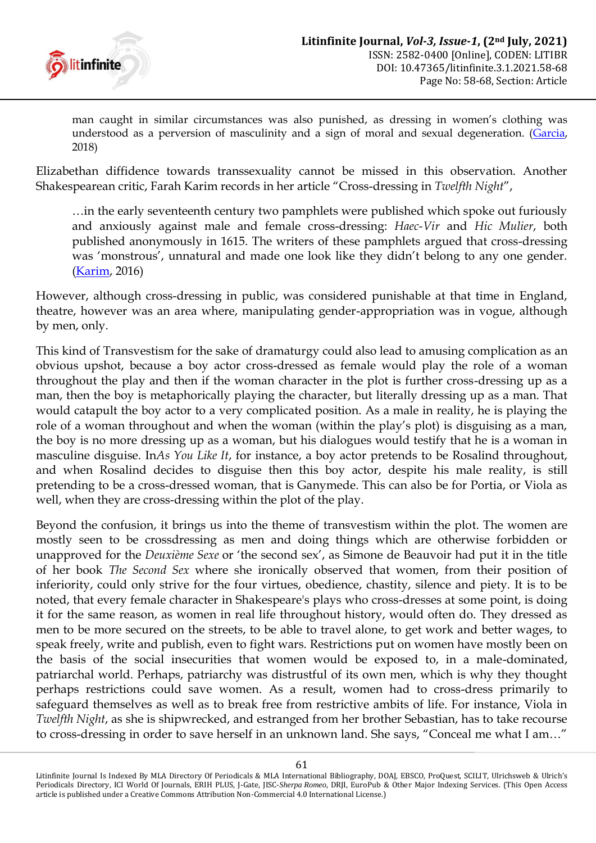

man caught in similar circumstances was also punished, as dressing in women"s clothing was understood as a perversion of masculinity and a sign of moral and sexual degeneration. [\(Garcia,](#page-9-1) 2018)

Elizabethan diffidence towards transsexuality cannot be missed in this observation. Another Shakespearean critic, Farah Karim records in her article "Cross-dressing in *Twelfth Night*",

…in the early seventeenth century two pamphlets were published which spoke out furiously and anxiously against male and female cross-dressing: *Haec-Vir* and *Hic Mulier*, both published anonymously in 1615. The writers of these pamphlets argued that cross-dressing was 'monstrous', unnatural and made one look like they didn't belong to any one gender. [\(Karim,](#page-9-3) 2016)

However, although cross-dressing in public, was considered punishable at that time in England, theatre, however was an area where, manipulating gender-appropriation was in vogue, although by men, only.

This kind of Transvestism for the sake of dramaturgy could also lead to amusing complication as an obvious upshot, because a boy actor cross-dressed as female would play the role of a woman throughout the play and then if the woman character in the plot is further cross-dressing up as a man, then the boy is metaphorically playing the character, but literally dressing up as a man. That would catapult the boy actor to a very complicated position. As a male in reality, he is playing the role of a woman throughout and when the woman (within the play"s plot) is disguising as a man, the boy is no more dressing up as a woman, but his dialogues would testify that he is a woman in masculine disguise. In*As You Like It*, for instance, a boy actor pretends to be Rosalind throughout, and when Rosalind decides to disguise then this boy actor, despite his male reality, is still pretending to be a cross-dressed woman, that is Ganymede. This can also be for Portia, or Viola as well, when they are cross-dressing within the plot of the play.

Beyond the confusion, it brings us into the theme of transvestism within the plot. The women are mostly seen to be crossdressing as men and doing things which are otherwise forbidden or unapproved for the *Deuxième Sexe* or "the second sex", as Simone de Beauvoir had put it in the title of her book *The Second Sex* where she ironically observed that women, from their position of inferiority, could only strive for the four virtues, obedience, chastity, silence and piety. It is to be noted, that every female character in Shakespeare's plays who cross-dresses at some point, is doing it for the same reason, as women in real life throughout history, would often do. They dressed as men to be more secured on the streets, to be able to travel alone, to get work and better wages, to speak freely, write and publish, even to fight wars. Restrictions put on women have mostly been on the basis of the social insecurities that women would be exposed to, in a male-dominated, patriarchal world. Perhaps, patriarchy was distrustful of its own men, which is why they thought perhaps restrictions could save women. As a result, women had to cross-dress primarily to safeguard themselves as well as to break free from restrictive ambits of life. For instance, Viola in *Twelfth Night*, as she is shipwrecked, and estranged from her brother Sebastian, has to take recourse to cross-dressing in order to save herself in an unknown land. She says, "Conceal me what I am…"

Litinfinite Journal Is Indexed By MLA Directory Of Periodicals & MLA International Bibliography, DOAJ, EBSCO, ProQuest, SCILIT, Ulrichsweb & Ulrich's Periodicals Directory, ICI World Of Journals, ERIH PLUS, J-Gate, JISC-*Sherpa Romeo*, DRJI, EuroPub & Other Major Indexing Services. (This Open Access article is published under a Creative Commons Attribution Non-Commercial 4.0 International License.)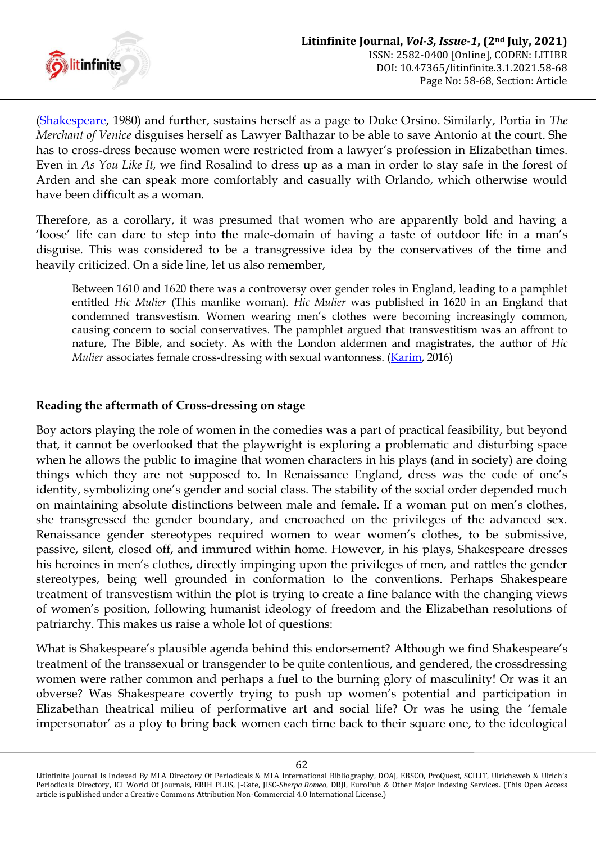

[\(Shakespeare,](#page-9-4) 1980) and further, sustains herself as a page to Duke Orsino. Similarly, Portia in *The Merchant of Venice* disguises herself as Lawyer Balthazar to be able to save Antonio at the court. She has to cross-dress because women were restricted from a lawyer's profession in Elizabethan times. Even in *As You Like It,* we find Rosalind to dress up as a man in order to stay safe in the forest of Arden and she can speak more comfortably and casually with Orlando, which otherwise would have been difficult as a woman.

Therefore, as a corollary, it was presumed that women who are apparently bold and having a 'loose' life can dare to step into the male-domain of having a taste of outdoor life in a man's disguise. This was considered to be a transgressive idea by the conservatives of the time and heavily criticized. On a side line, let us also remember,

Between 1610 and 1620 there was a controversy over gender roles in England, leading to a pamphlet entitled *Hic Mulier* (This manlike woman). *Hic Mulier* was published in 1620 in an England that condemned transvestism. Women wearing men"s clothes were becoming increasingly common, causing concern to social conservatives. The pamphlet argued that transvestitism was an affront to nature, The Bible, and society. As with the London aldermen and magistrates, the author of *Hic Mulier* associates female cross-dressing with sexual wantonness. [\(Karim,](#page-9-3) 2016)

### **Reading the aftermath of Cross-dressing on stage**

Boy actors playing the role of women in the comedies was a part of practical feasibility, but beyond that, it cannot be overlooked that the playwright is exploring a problematic and disturbing space when he allows the public to imagine that women characters in his plays (and in society) are doing things which they are not supposed to. In Renaissance England, dress was the code of one"s identity, symbolizing one's gender and social class. The stability of the social order depended much on maintaining absolute distinctions between male and female. If a woman put on men"s clothes, she transgressed the gender boundary, and encroached on the privileges of the advanced sex. Renaissance gender stereotypes required women to wear women"s clothes, to be submissive, passive, silent, closed off, and immured within home. However, in his plays, Shakespeare dresses his heroines in men's clothes, directly impinging upon the privileges of men, and rattles the gender stereotypes, being well grounded in conformation to the conventions. Perhaps Shakespeare treatment of transvestism within the plot is trying to create a fine balance with the changing views of women"s position, following humanist ideology of freedom and the Elizabethan resolutions of patriarchy. This makes us raise a whole lot of questions:

What is Shakespeare's plausible agenda behind this endorsement? Although we find Shakespeare's treatment of the transsexual or transgender to be quite contentious, and gendered, the crossdressing women were rather common and perhaps a fuel to the burning glory of masculinity! Or was it an obverse? Was Shakespeare covertly trying to push up women"s potential and participation in Elizabethan theatrical milieu of performative art and social life? Or was he using the "female impersonator' as a ploy to bring back women each time back to their square one, to the ideological

Litinfinite Journal Is Indexed By MLA Directory Of Periodicals & MLA International Bibliography, DOAJ, EBSCO, ProQuest, SCILIT, Ulrichsweb & Ulrich's Periodicals Directory, ICI World Of Journals, ERIH PLUS, J-Gate, JISC-*Sherpa Romeo*, DRJI, EuroPub & Other Major Indexing Services. (This Open Access article is published under a Creative Commons Attribution Non-Commercial 4.0 International License.)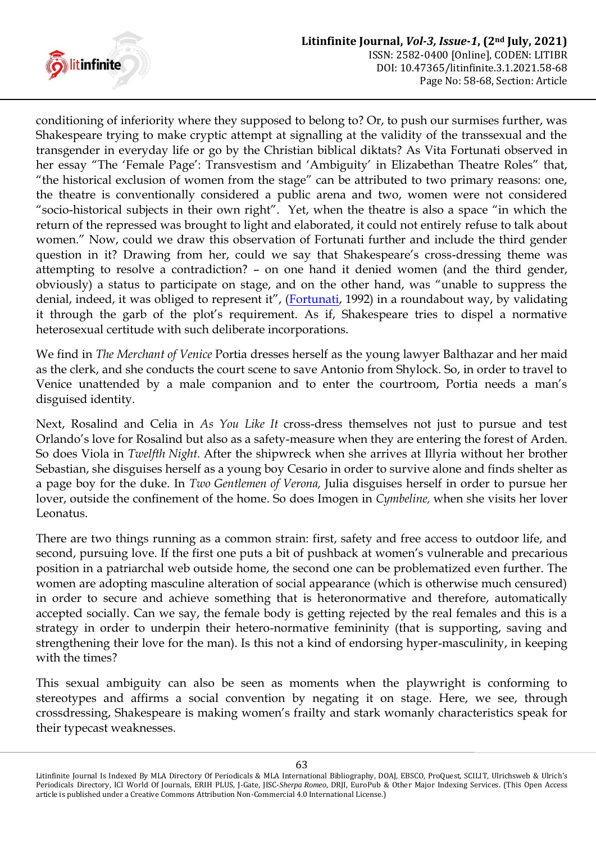

conditioning of inferiority where they supposed to belong to? Or, to push our surmises further, was Shakespeare trying to make cryptic attempt at signalling at the validity of the transsexual and the transgender in everyday life or go by the Christian biblical diktats? As Vita Fortunati observed in her essay "The 'Female Page': Transvestism and 'Ambiguity' in Elizabethan Theatre Roles" that, "the historical exclusion of women from the stage" can be attributed to two primary reasons: one, the theatre is conventionally considered a public arena and two, women were not considered "socio-historical subjects in their own right". Yet, when the theatre is also a space "in which the return of the repressed was brought to light and elaborated, it could not entirely refuse to talk about women." Now, could we draw this observation of Fortunati further and include the third gender question in it? Drawing from her, could we say that Shakespeare's cross-dressing theme was attempting to resolve a contradiction? – on one hand it denied women (and the third gender, obviously) a status to participate on stage, and on the other hand, was "unable to suppress the denial, indeed, it was obliged to represent it", ([Fortunati,](#page-9-5) 1992) in a roundabout way, by validating it through the garb of the plot's requirement. As if, Shakespeare tries to dispel a normative heterosexual certitude with such deliberate incorporations.

We find in *The Merchant of Venice* Portia dresses herself as the young lawyer Balthazar and her maid as the clerk, and she conducts the court scene to save Antonio from Shylock. So, in order to travel to Venice unattended by a male companion and to enter the courtroom, Portia needs a man"s disguised identity.

Next, Rosalind and Celia in *As You Like It* cross-dress themselves not just to pursue and test Orlando"s love for Rosalind but also as a safety-measure when they are entering the forest of Arden. So does Viola in *Twelfth Night.* After the shipwreck when she arrives at Illyria without her brother Sebastian, she disguises herself as a young boy Cesario in order to survive alone and finds shelter as a page boy for the duke. In *Two Gentlemen of Verona,* Julia disguises herself in order to pursue her lover, outside the confinement of the home. So does Imogen in *Cymbeline,* when she visits her lover Leonatus.

There are two things running as a common strain: first, safety and free access to outdoor life, and second, pursuing love. If the first one puts a bit of pushback at women's vulnerable and precarious position in a patriarchal web outside home, the second one can be problematized even further. The women are adopting masculine alteration of social appearance (which is otherwise much censured) in order to secure and achieve something that is heteronormative and therefore, automatically accepted socially. Can we say, the female body is getting rejected by the real females and this is a strategy in order to underpin their hetero-normative femininity (that is supporting, saving and strengthening their love for the man). Is this not a kind of endorsing hyper-masculinity, in keeping with the times?

This sexual ambiguity can also be seen as moments when the playwright is conforming to stereotypes and affirms a social convention by negating it on stage. Here, we see, through crossdressing, Shakespeare is making women"s frailty and stark womanly characteristics speak for their typecast weaknesses.

Litinfinite Journal Is Indexed By MLA Directory Of Periodicals & MLA International Bibliography, DOAJ, EBSCO, ProQuest, SCILIT, Ulrichsweb & Ulrich's Periodicals Directory, ICI World Of Journals, ERIH PLUS, J-Gate, JISC-*Sherpa Romeo*, DRJI, EuroPub & Other Major Indexing Services. (This Open Access article is published under a Creative Commons Attribution Non-Commercial 4.0 International License.)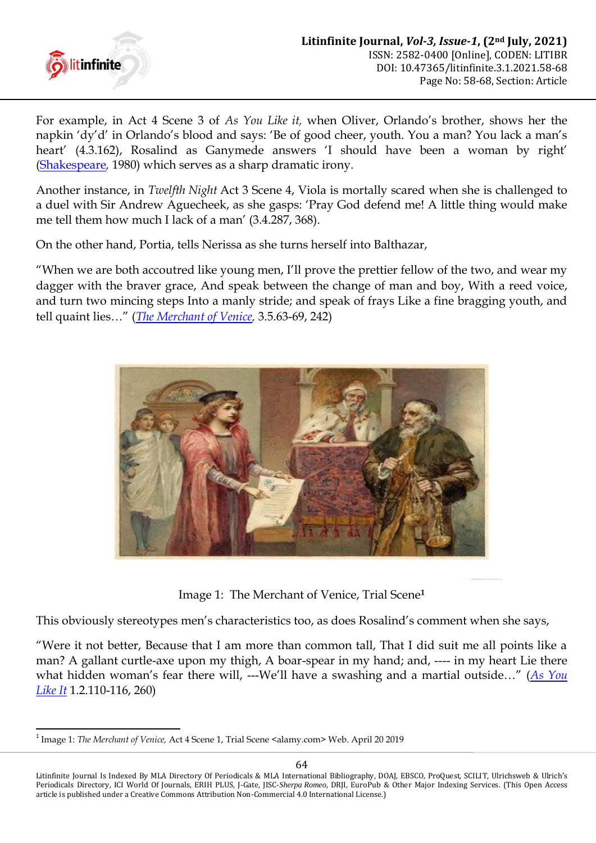

For example, in Act 4 Scene 3 of *As You Like it,* when Oliver, Orlando"s brother, shows her the napkin "dy"d" in Orlando"s blood and says: "Be of good cheer, youth. You a man? You lack a man"s heart' (4.3.162), Rosalind as Ganymede answers 'I should have been a woman by right' [\(Shakespeare](#page-9-4)*,* 1980) which serves as a sharp dramatic irony.

Another instance, in *Twelfth Night* Act 3 Scene 4, Viola is mortally scared when she is challenged to a duel with Sir Andrew Aguecheek, as she gasps: "Pray God defend me! A little thing would make me tell them how much I lack of a man' (3.4.287, 368).

On the other hand, Portia, tells Nerissa as she turns herself into Balthazar,

"When we are both accoutred like young men, I"ll prove the prettier fellow of the two, and wear my dagger with the braver grace, And speak between the change of man and boy, With a reed voice, and turn two mincing steps Into a manly stride; and speak of frays Like a fine bragging youth, and tell quaint lies…" (*[The Merchant of Venice,](#page-9-4)* 3.5.63-69, 242)



Image 1: The Merchant of Venice, Trial Scene**<sup>1</sup>**

This obviously stereotypes men"s characteristics too, as does Rosalind"s comment when she says,

"Were it not better, Because that I am more than common tall, That I did suit me all points like a man? A gallant curtle-axe upon my thigh, A boar-spear in my hand; and, ---- in my heart Lie there what hidden woman"s fear there will, ---We"ll have a swashing and a martial outside…" (*[As You](#page-9-4)  [Like It](#page-9-4)* 1.2.110-116, 260)

-

<sup>&</sup>lt;sup>1</sup> Image 1: *The Merchant of Venice, Act* 4 Scene 1, Trial Scene <alamy.com> Web. April 20 2019

Litinfinite Journal Is Indexed By MLA Directory Of Periodicals & MLA International Bibliography, DOAJ, EBSCO, ProQuest, SCILIT, Ulrichsweb & Ulrich's Periodicals Directory, ICI World Of Journals, ERIH PLUS, J-Gate, JISC-*Sherpa Romeo*, DRJI, EuroPub & Other Major Indexing Services. (This Open Access article is published under a Creative Commons Attribution Non-Commercial 4.0 International License.)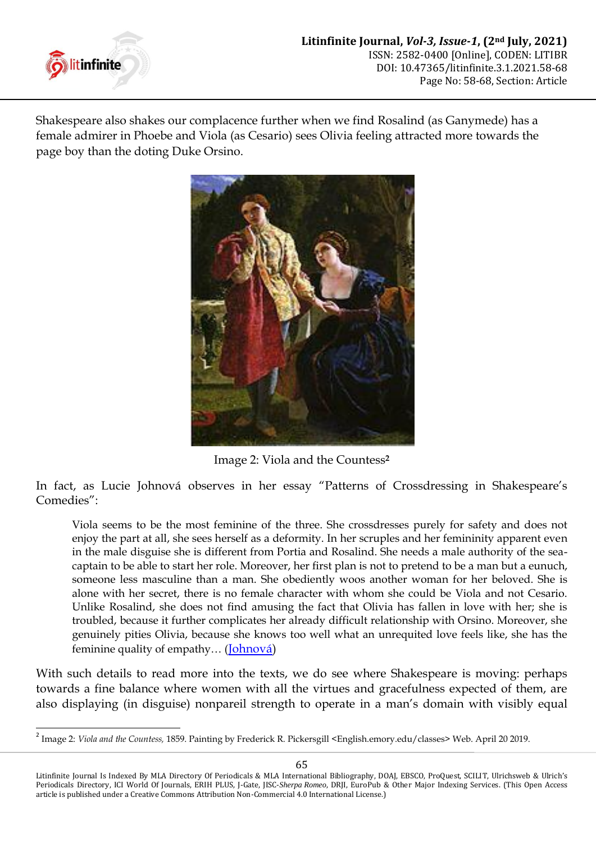

<u>.</u>

Shakespeare also shakes our complacence further when we find Rosalind (as Ganymede) has a female admirer in Phoebe and Viola (as Cesario) sees Olivia feeling attracted more towards the page boy than the doting Duke Orsino.



Image 2: Viola and the Countess**<sup>2</sup>**

In fact, as Lucie Johnová observes in her essay "Patterns of Crossdressing in Shakespeare"s Comedies":

Viola seems to be the most feminine of the three. She crossdresses purely for safety and does not enjoy the part at all, she sees herself as a deformity. In her scruples and her femininity apparent even in the male disguise she is different from Portia and Rosalind. She needs a male authority of the seacaptain to be able to start her role. Moreover, her first plan is not to pretend to be a man but a eunuch, someone less masculine than a man. She obediently woos another woman for her beloved. She is alone with her secret, there is no female character with whom she could be Viola and not Cesario. Unlike Rosalind, she does not find amusing the fact that Olivia has fallen in love with her; she is troubled, because it further complicates her already difficult relationship with Orsino. Moreover, she genuinely pities Olivia, because she knows too well what an unrequited love feels like, she has the feminine quality of empathy… ([Johnová\)](#page-9-6)

With such details to read more into the texts, we do see where Shakespeare is moving: perhaps towards a fine balance where women with all the virtues and gracefulness expected of them, are also displaying (in disguise) nonpareil strength to operate in a man's domain with visibly equal

<sup>2</sup> Image 2: *Viola and the Countess,* 1859. Painting by Frederick R. Pickersgill <English.emory.edu/classes> Web. April 20 2019.

Litinfinite Journal Is Indexed By MLA Directory Of Periodicals & MLA International Bibliography, DOAJ, EBSCO, ProQuest, SCILIT, Ulrichsweb & Ulrich's Periodicals Directory, ICI World Of Journals, ERIH PLUS, J-Gate, JISC-*Sherpa Romeo*, DRJI, EuroPub & Other Major Indexing Services. (This Open Access article is published under a Creative Commons Attribution Non-Commercial 4.0 International License.)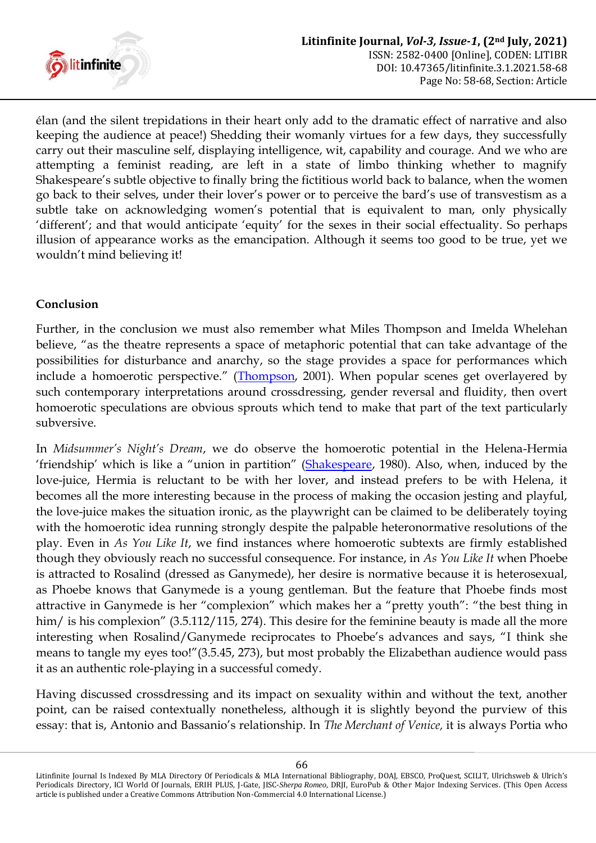

élan (and the silent trepidations in their heart only add to the dramatic effect of narrative and also keeping the audience at peace!) Shedding their womanly virtues for a few days, they successfully carry out their masculine self, displaying intelligence, wit, capability and courage. And we who are attempting a feminist reading, are left in a state of limbo thinking whether to magnify Shakespeare's subtle objective to finally bring the fictitious world back to balance, when the women go back to their selves, under their lover"s power or to perceive the bard"s use of transvestism as a subtle take on acknowledging women's potential that is equivalent to man, only physically 'different'; and that would anticipate 'equity' for the sexes in their social effectuality. So perhaps illusion of appearance works as the emancipation. Although it seems too good to be true, yet we wouldn"t mind believing it!

## **Conclusion**

Further, in the conclusion we must also remember what Miles Thompson and Imelda Whelehan believe, "as the theatre represents a space of metaphoric potential that can take advantage of the possibilities for disturbance and anarchy, so the stage provides a space for performances which include a homoerotic perspective." ([Thompson,](#page-9-7) 2001). When popular scenes get overlayered by such contemporary interpretations around crossdressing, gender reversal and fluidity, then overt homoerotic speculations are obvious sprouts which tend to make that part of the text particularly subversive.

In *Midsummer's Night's Dream*, we do observe the homoerotic potential in the Helena-Hermia 'friendship' which is like a "union in partition" ([Shakespeare,](#page-9-4) 1980). Also, when, induced by the love-juice, Hermia is reluctant to be with her lover, and instead prefers to be with Helena, it becomes all the more interesting because in the process of making the occasion jesting and playful, the love-juice makes the situation ironic, as the playwright can be claimed to be deliberately toying with the homoerotic idea running strongly despite the palpable heteronormative resolutions of the play. Even in *As You Like It*, we find instances where homoerotic subtexts are firmly established though they obviously reach no successful consequence. For instance, in *As You Like It* when Phoebe is attracted to Rosalind (dressed as Ganymede), her desire is normative because it is heterosexual, as Phoebe knows that Ganymede is a young gentleman. But the feature that Phoebe finds most attractive in Ganymede is her "complexion" which makes her a "pretty youth": "the best thing in him/ is his complexion" (3.5.112/115, 274). This desire for the feminine beauty is made all the more interesting when Rosalind/Ganymede reciprocates to Phoebe"s advances and says, "I think she means to tangle my eyes too!"(3.5.45, 273), but most probably the Elizabethan audience would pass it as an authentic role-playing in a successful comedy.

Having discussed crossdressing and its impact on sexuality within and without the text, another point, can be raised contextually nonetheless, although it is slightly beyond the purview of this essay: that is, Antonio and Bassanio's relationship. In *The Merchant of Venice*, it is always Portia who

Litinfinite Journal Is Indexed By MLA Directory Of Periodicals & MLA International Bibliography, DOAJ, EBSCO, ProQuest, SCILIT, Ulrichsweb & Ulrich's Periodicals Directory, ICI World Of Journals, ERIH PLUS, J-Gate, JISC-*Sherpa Romeo*, DRJI, EuroPub & Other Major Indexing Services. (This Open Access article is published under a Creative Commons Attribution Non-Commercial 4.0 International License.)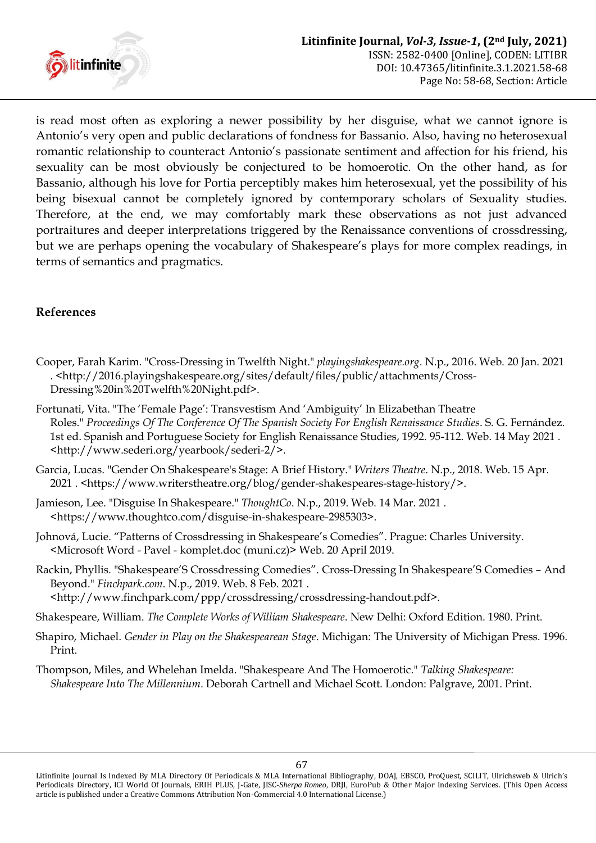

is read most often as exploring a newer possibility by her disguise, what we cannot ignore is Antonio"s very open and public declarations of fondness for Bassanio. Also, having no heterosexual romantic relationship to counteract Antonio's passionate sentiment and affection for his friend, his sexuality can be most obviously be conjectured to be homoerotic. On the other hand, as for Bassanio, although his love for Portia perceptibly makes him heterosexual, yet the possibility of his being bisexual cannot be completely ignored by contemporary scholars of Sexuality studies. Therefore, at the end, we may comfortably mark these observations as not just advanced portraitures and deeper interpretations triggered by the Renaissance conventions of crossdressing, but we are perhaps opening the vocabulary of Shakespeare's plays for more complex readings, in terms of semantics and pragmatics.

#### **References**

- <span id="page-9-3"></span>Cooper, Farah Karim. "Cross-Dressing in Twelfth Night." *playingshakespeare.org*. N.p., 2016. Web. 20 Jan. 2021 . <http://2016.playingshakespeare.org/sites/default/files/public/attachments/Cross-Dressing%20in%20Twelfth%20Night.pdf>.
- <span id="page-9-5"></span>Fortunati, Vita. "The "Female Page": Transvestism And "Ambiguity" In Elizabethan Theatre Roles." *Proceedings Of The Conference Of The Spanish Society For English Renaissance Studies*. S. G. Fernández. 1st ed. Spanish and Portuguese Society for English Renaissance Studies, 1992. 95-112. Web. 14 May 2021 . <http://www.sederi.org/yearbook/sederi-2/>.
- <span id="page-9-1"></span>Garcia, Lucas. "Gender On Shakespeare's Stage: A Brief History." *Writers Theatre*. N.p., 2018. Web. 15 Apr. 2021 . <https://www.writerstheatre.org/blog/gender-shakespeares-stage-history/>.
- <span id="page-9-0"></span>Jamieson, Lee. "Disguise In Shakespeare." *ThoughtCo*. N.p., 2019. Web. 14 Mar. 2021 . <https://www.thoughtco.com/disguise-in-shakespeare-2985303>.
- <span id="page-9-6"></span>Johnová, Lucie. "Patterns of Crossdressing in Shakespeare's Comedies". Prague: Charles University. <Microsoft Word - Pavel - komplet.doc (muni.cz)> Web. 20 April 2019.
- <span id="page-9-2"></span>Rackin, Phyllis. "Shakespeare"S Crossdressing Comedies". Cross-Dressing In Shakespeare"S Comedies – And Beyond." *Finchpark.com*. N.p., 2019. Web. 8 Feb. 2021 . <http://www.finchpark.com/ppp/crossdressing/crossdressing-handout.pdf>.
- <span id="page-9-4"></span>Shakespeare, William. *The Complete Works of William Shakespeare*. New Delhi: Oxford Edition. 1980. Print.
- Shapiro, Michael. *Gender in Play on the Shakespearean Stage*. Michigan: The University of Michigan Press. 1996. Print.
- <span id="page-9-7"></span>Thompson, Miles, and Whelehan Imelda. "Shakespeare And The Homoerotic." *Talking Shakespeare: Shakespeare Into The Millennium*. Deborah Cartnell and Michael Scott. London: Palgrave, 2001. Print.

Litinfinite Journal Is Indexed By MLA Directory Of Periodicals & MLA International Bibliography, DOAJ, EBSCO, ProQuest, SCILIT, Ulrichsweb & Ulrich's Periodicals Directory, ICI World Of Journals, ERIH PLUS, J-Gate, JISC-*Sherpa Romeo*, DRJI, EuroPub & Other Major Indexing Services. (This Open Access article is published under a Creative Commons Attribution Non-Commercial 4.0 International License.)